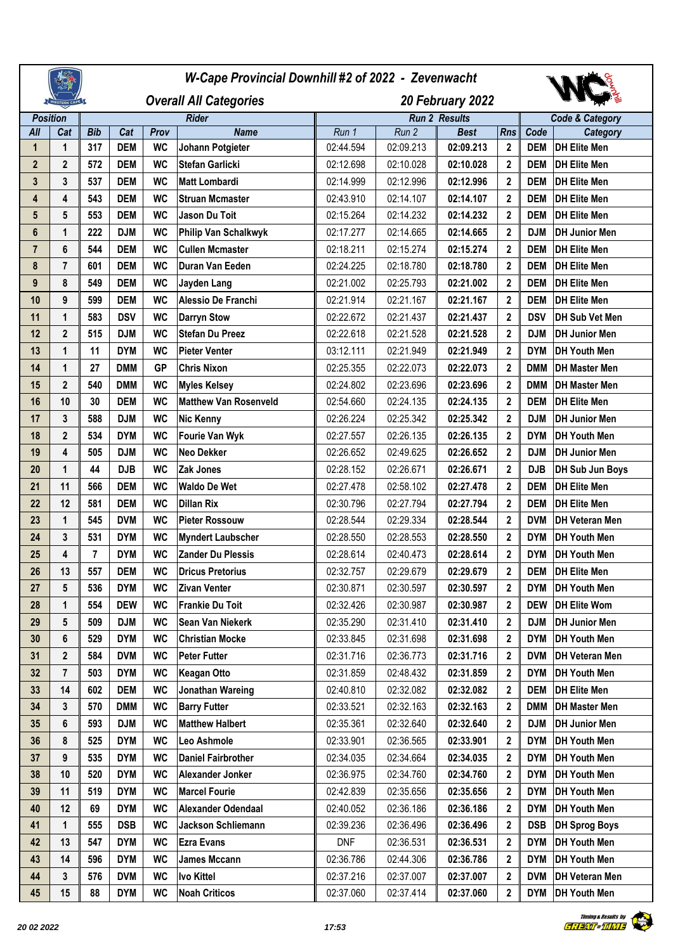|                  |                |            | W-Cape Provincial Downhill #2 of 2022 - Zevenwacht |           |                              |                  |           |                      |                |            |                            |
|------------------|----------------|------------|----------------------------------------------------|-----------|------------------------------|------------------|-----------|----------------------|----------------|------------|----------------------------|
|                  | WESTERN CAPE   |            | <b>Overall All Categories</b>                      |           |                              | 20 February 2022 |           |                      |                |            |                            |
| <b>Position</b>  |                |            |                                                    |           | <b>Rider</b>                 |                  |           | <b>Run 2 Results</b> |                |            | <b>Code &amp; Category</b> |
| All              | Cat            | <b>Bib</b> | Cat                                                | Prov      | <b>Name</b>                  | Run 1            | Run 2     | <b>Best</b>          | <b>Rns</b>     | Code       | Category                   |
| $\mathbf 1$      | 1              | 317        | <b>DEM</b>                                         | <b>WC</b> | Johann Potgieter             | 02:44.594        | 02:09.213 | 02:09.213            | $\mathbf{2}$   | <b>DEM</b> | <b>DH Elite Men</b>        |
| $\overline{2}$   | $\mathbf{2}$   | 572        | <b>DEM</b>                                         | <b>WC</b> | Stefan Garlicki              | 02:12.698        | 02:10.028 | 02:10.028            | $\mathbf{2}$   | <b>DEM</b> | <b>DH Elite Men</b>        |
| $\mathbf{3}$     | 3              | 537        | <b>DEM</b>                                         | <b>WC</b> | <b>Matt Lombardi</b>         | 02:14.999        | 02:12.996 | 02:12.996            | $\overline{2}$ | <b>DEM</b> | <b>DH Elite Men</b>        |
| 4                | 4              | 543        | <b>DEM</b>                                         | <b>WC</b> | <b>Struan Mcmaster</b>       | 02:43.910        | 02:14.107 | 02:14.107            | $\overline{2}$ | <b>DEM</b> | <b>DH Elite Men</b>        |
| 5                | 5              | 553        | <b>DEM</b>                                         | <b>WC</b> | Jason Du Toit                | 02:15.264        | 02:14.232 | 02:14.232            | $\overline{2}$ | <b>DEM</b> | <b>DH Elite Men</b>        |
| $6\phantom{1}$   | 1              | 222        | <b>DJM</b>                                         | <b>WC</b> | Philip Van Schalkwyk         | 02:17.277        | 02:14.665 | 02:14.665            | $\overline{2}$ | <b>DJM</b> | <b>DH Junior Men</b>       |
| $\overline{7}$   | $\bf 6$        | 544        | <b>DEM</b>                                         | <b>WC</b> | <b>Cullen Mcmaster</b>       | 02:18.211        | 02:15.274 | 02:15.274            | $\overline{2}$ | <b>DEM</b> | <b>DH Elite Men</b>        |
| $\pmb{8}$        | $\overline{7}$ | 601        | <b>DEM</b>                                         | <b>WC</b> | Duran Van Eeden              | 02:24.225        | 02:18.780 | 02:18.780            | $\overline{2}$ | <b>DEM</b> | <b>DH Elite Men</b>        |
| $\boldsymbol{9}$ | 8              | 549        | <b>DEM</b>                                         | <b>WC</b> | Jayden Lang                  | 02:21.002        | 02:25.793 | 02:21.002            | $\mathbf{2}$   | <b>DEM</b> | <b>DH Elite Men</b>        |
| 10               | 9              | 599        | <b>DEM</b>                                         | <b>WC</b> | Alessio De Franchi           | 02:21.914        | 02:21.167 | 02:21.167            | $\overline{2}$ | <b>DEM</b> | <b>DH Elite Men</b>        |
| 11               | 1              | 583        | <b>DSV</b>                                         | <b>WC</b> | <b>Darryn Stow</b>           | 02:22.672        | 02:21.437 | 02:21.437            | $\mathbf{2}$   | <b>DSV</b> | <b>DH Sub Vet Men</b>      |
| 12               | $\mathbf{2}$   | 515        | <b>DJM</b>                                         | <b>WC</b> | <b>Stefan Du Preez</b>       | 02:22.618        | 02:21.528 | 02:21.528            | $\overline{2}$ | <b>DJM</b> | <b>DH Junior Men</b>       |
| 13               | 1              | 11         | <b>DYM</b>                                         | <b>WC</b> | <b>Pieter Venter</b>         | 03:12.111        | 02:21.949 | 02:21.949            | $\mathbf{2}$   | <b>DYM</b> | <b>DH Youth Men</b>        |
| 14               | 1              | 27         | <b>DMM</b>                                         | <b>GP</b> | <b>Chris Nixon</b>           | 02:25.355        | 02:22.073 | 02:22.073            | $\overline{2}$ | <b>DMM</b> | <b>DH Master Men</b>       |
| 15               | $\mathbf{2}$   | 540        | <b>DMM</b>                                         | <b>WC</b> | <b>Myles Kelsey</b>          | 02:24.802        | 02:23.696 | 02:23.696            | $\mathbf{2}$   | <b>DMM</b> | <b>DH Master Men</b>       |
| 16               | 10             | 30         | <b>DEM</b>                                         | <b>WC</b> | <b>Matthew Van Rosenveld</b> | 02:54.660        | 02:24.135 | 02:24.135            | $\mathbf{2}$   | <b>DEM</b> | <b>DH Elite Men</b>        |
| 17               | 3              | 588        | <b>DJM</b>                                         | <b>WC</b> | <b>Nic Kenny</b>             | 02:26.224        | 02:25.342 | 02:25.342            | 2              | <b>DJM</b> | <b>DH Junior Men</b>       |
| 18               | $\mathbf{2}$   | 534        | <b>DYM</b>                                         | <b>WC</b> | <b>Fourie Van Wyk</b>        | 02:27.557        | 02:26.135 | 02:26.135            | $\overline{2}$ | <b>DYM</b> | <b>DH Youth Men</b>        |
| 19               | 4              | 505        | <b>DJM</b>                                         | <b>WC</b> | Neo Dekker                   | 02:26.652        | 02:49.625 | 02:26.652            | $\mathbf{2}$   | <b>DJM</b> | <b>DH Junior Men</b>       |
| 20               | 1              | 44         | <b>DJB</b>                                         | <b>WC</b> | Zak Jones                    | 02:28.152        | 02:26.671 | 02:26.671            | $\overline{2}$ | <b>DJB</b> | DH Sub Jun Boys            |
| 21               | 11             | 566        | <b>DEM</b>                                         | <b>WC</b> | <b>Waldo De Wet</b>          | 02:27.478        | 02:58.102 | 02:27.478            | $\mathbf{2}$   | <b>DEM</b> | <b>DH Elite Men</b>        |
| 22               | 12             | 581        | <b>DEM</b>                                         | <b>WC</b> | <b>Dillan Rix</b>            | 02:30.796        | 02:27.794 | 02:27.794            | $\overline{2}$ | <b>DEM</b> | <b>DH Elite Men</b>        |
| 23               | 1              | 545        | <b>DVM</b>                                         | <b>WC</b> | <b>Pieter Rossouw</b>        | 02:28.544        | 02:29.334 | 02:28.544            | $\mathbf{2}$   | <b>DVM</b> | <b>DH Veteran Men</b>      |
| 24               | 3              | 531        | <b>DYM</b>                                         | <b>WC</b> | <b>Myndert Laubscher</b>     | 02:28.550        | 02:28.553 | 02:28.550            | $\overline{2}$ | <b>DYM</b> | <b>DH Youth Men</b>        |
| 25               | 4              | 7          | <b>DYM</b>                                         | <b>WC</b> | <b>Zander Du Plessis</b>     | 02:28.614        | 02:40.473 | 02:28.614            | 2              | <b>DYM</b> | <b>DH Youth Men</b>        |
| 26               | 13             | 557        | <b>DEM</b>                                         | <b>WC</b> | <b>Dricus Pretorius</b>      | 02:32.757        | 02:29.679 | 02:29.679            | 2              | <b>DEM</b> | <b>DH Elite Men</b>        |
| 27               | 5              | 536        | <b>DYM</b>                                         | WC        | <b>Zivan Venter</b>          | 02:30.871        | 02:30.597 | 02:30.597            | $\mathbf{2}$   | <b>DYM</b> | <b>DH Youth Men</b>        |
| 28               | 1              | 554        | <b>DEW</b>                                         | <b>WC</b> | Frankie Du Toit              | 02:32.426        | 02:30.987 | 02:30.987            | $\mathbf{2}$   | DEW        | <b>DH Elite Wom</b>        |
| 29               | 5              | 509        | DJM                                                | WC        | Sean Van Niekerk             | 02:35.290        | 02:31.410 | 02:31.410            | $\mathbf{2}$   | <b>DJM</b> | <b>DH Junior Men</b>       |
| 30               | $\bf 6$        | 529        | <b>DYM</b>                                         | <b>WC</b> | <b>Christian Mocke</b>       | 02:33.845        | 02:31.698 | 02:31.698            | $\overline{2}$ | <b>DYM</b> | <b>DH Youth Men</b>        |
| 31               | $\mathbf{2}$   | 584        | <b>DVM</b>                                         | WC        | <b>Peter Futter</b>          | 02:31.716        | 02:36.773 | 02:31.716            | $\mathbf{2}$   | <b>DVM</b> | <b>DH Veteran Men</b>      |
| 32               | $\overline{7}$ | 503        | <b>DYM</b>                                         | <b>WC</b> | <b>Keagan Otto</b>           | 02:31.859        | 02:48.432 | 02:31.859            | $\overline{2}$ | DYM        | <b>DH Youth Men</b>        |
| 33               | 14             | 602        | <b>DEM</b>                                         | <b>WC</b> | Jonathan Wareing             | 02:40.810        | 02:32.082 | 02:32.082            | $\mathbf{2}$   | DEM        | <b>DH Elite Men</b>        |
| 34               | 3              | 570        | <b>DMM</b>                                         | <b>WC</b> | <b>Barry Futter</b>          | 02:33.521        | 02:32.163 | 02:32.163            | $\mathbf{2}$   | <b>DMM</b> | <b>DH Master Men</b>       |
| 35               | 6              | 593        | <b>DJM</b>                                         | <b>WC</b> | <b>Matthew Halbert</b>       | 02:35.361        | 02:32.640 | 02:32.640            | $\mathbf{2}$   | <b>DJM</b> | <b>DH Junior Men</b>       |
| 36               | 8              | 525        | <b>DYM</b>                                         | <b>WC</b> | Leo Ashmole                  | 02:33.901        | 02:36.565 | 02:33.901            | $\overline{2}$ | <b>DYM</b> | <b>DH Youth Men</b>        |
| 37               | 9              | 535        | <b>DYM</b>                                         | <b>WC</b> | <b>Daniel Fairbrother</b>    | 02:34.035        | 02:34.664 | 02:34.035            | $\mathbf{2}$   | <b>DYM</b> | <b>DH Youth Men</b>        |
| 38               | 10             | 520        | <b>DYM</b>                                         | <b>WC</b> | Alexander Jonker             | 02:36.975        | 02:34.760 | 02:34.760            | $\mathbf{2}$   | <b>DYM</b> | <b>DH Youth Men</b>        |
| 39               | 11             | 519        | <b>DYM</b>                                         | <b>WC</b> | <b>Marcel Fourie</b>         | 02:42.839        | 02:35.656 | 02:35.656            | $\mathbf{2}$   | <b>DYM</b> | <b>DH Youth Men</b>        |
| 40               | 12             | 69         | <b>DYM</b>                                         | <b>WC</b> | Alexander Odendaal           | 02:40.052        | 02:36.186 | 02:36.186            | $\mathbf{2}$   | <b>DYM</b> | <b>DH Youth Men</b>        |
| 41               | 1              | 555        | DSB                                                | <b>WC</b> | Jackson Schliemann           | 02:39.236        | 02:36.496 | 02:36.496            | $\mathbf{2}$   | <b>DSB</b> | <b>DH Sprog Boys</b>       |
| 42               | 13             | 547        | <b>DYM</b>                                         | <b>WC</b> | <b>Ezra Evans</b>            | <b>DNF</b>       | 02:36.531 | 02:36.531            | $\mathbf{2}$   | <b>DYM</b> | <b>DH Youth Men</b>        |
| 43               | 14             | 596        | <b>DYM</b>                                         | <b>WC</b> | James Mccann                 | 02:36.786        | 02:44.306 | 02:36.786            | 2              | <b>DYM</b> | <b>DH Youth Men</b>        |
| 44               | 3              | 576        | <b>DVM</b>                                         | <b>WC</b> | <b>Ivo Kittel</b>            | 02:37.216        | 02:37.007 | 02:37.007            | $\mathbf{2}$   | <b>DVM</b> | <b>DH Veteran Men</b>      |
| 45               | 15             | 88         | <b>DYM</b>                                         | <b>WC</b> | <b>Noah Criticos</b>         | 02:37.060        | 02:37.414 | 02:37.060            | $\mathbf{2}$   |            | DYM   DH Youth Men         |



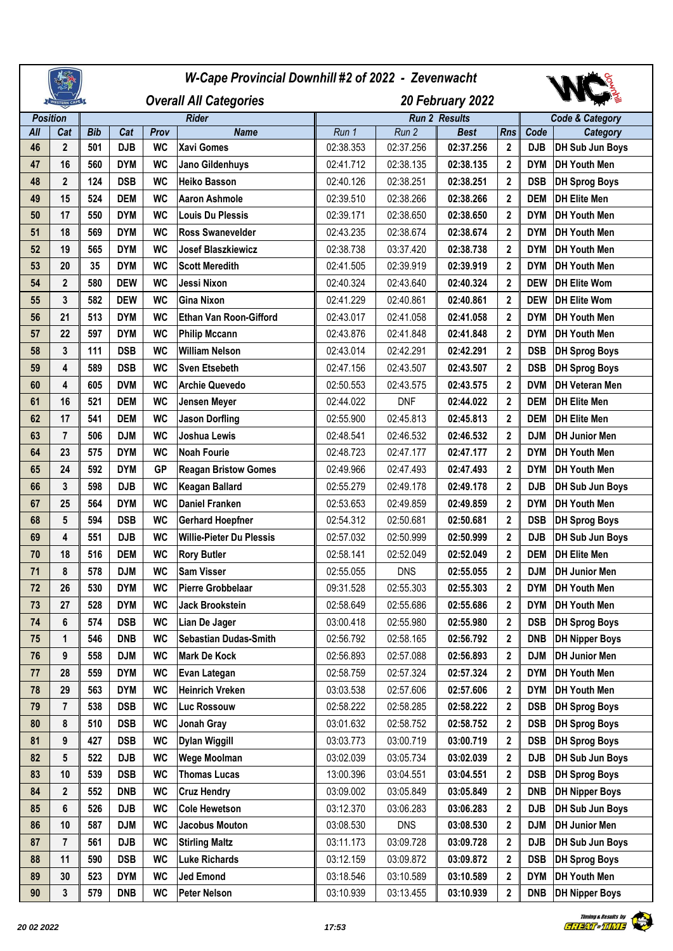|                 |                  |            | W-Cape Provincial Downhill #2 of 2022 - Zevenwacht |              |                                 |                  |                      |             |              |                            |                       |  |  |
|-----------------|------------------|------------|----------------------------------------------------|--------------|---------------------------------|------------------|----------------------|-------------|--------------|----------------------------|-----------------------|--|--|
| VESTERN CAPE    |                  |            | <b>Overall All Categories</b>                      |              |                                 | 20 February 2022 |                      |             |              |                            |                       |  |  |
| <b>Position</b> |                  |            |                                                    | <b>Rider</b> |                                 |                  | <b>Run 2 Results</b> |             |              | <b>Code &amp; Category</b> |                       |  |  |
| All             | Cat              | <b>Bib</b> | Cat                                                | Prov         | <b>Name</b>                     | Run 1            | Run 2                | <b>Best</b> | <b>Rns</b>   | Code                       | <b>Category</b>       |  |  |
| 46              | $\boldsymbol{2}$ | 501        | <b>DJB</b>                                         | <b>WC</b>    | <b>Xavi Gomes</b>               | 02:38.353        | 02:37.256            | 02:37.256   | 2            | <b>DJB</b>                 | DH Sub Jun Boys       |  |  |
| 47              | 16               | 560        | <b>DYM</b>                                         | <b>WC</b>    | Jano Gildenhuys                 | 02:41.712        | 02:38.135            | 02:38.135   | 2            | <b>DYM</b>                 | <b>DH Youth Men</b>   |  |  |
| 48              | $\mathbf{2}$     | 124        | <b>DSB</b>                                         | <b>WC</b>    | <b>Heiko Basson</b>             | 02:40.126        | 02:38.251            | 02:38.251   | 2            | <b>DSB</b>                 | <b>DH Sprog Boys</b>  |  |  |
| 49              | 15               | 524        | <b>DEM</b>                                         | <b>WC</b>    | <b>Aaron Ashmole</b>            | 02:39.510        | 02:38.266            | 02:38.266   | $\mathbf 2$  | <b>DEM</b>                 | <b>DH Elite Men</b>   |  |  |
| 50              | 17               | 550        | <b>DYM</b>                                         | <b>WC</b>    | <b>Louis Du Plessis</b>         | 02:39.171        | 02:38.650            | 02:38.650   | 2            | <b>DYM</b>                 | <b>DH Youth Men</b>   |  |  |
| 51              | 18               | 569        | <b>DYM</b>                                         | <b>WC</b>    | <b>Ross Swanevelder</b>         | 02:43.235        | 02:38.674            | 02:38.674   | $\mathbf 2$  | <b>DYM</b>                 | <b>DH Youth Men</b>   |  |  |
| 52              | 19               | 565        | <b>DYM</b>                                         | <b>WC</b>    | <b>Josef Blaszkiewicz</b>       | 02:38.738        | 03:37.420            | 02:38.738   | 2            | <b>DYM</b>                 | <b>DH Youth Men</b>   |  |  |
| 53              | 20               | 35         | <b>DYM</b>                                         | <b>WC</b>    | <b>Scott Meredith</b>           | 02:41.505        | 02:39.919            | 02:39.919   | $\mathbf{2}$ | <b>DYM</b>                 | <b>DH Youth Men</b>   |  |  |
| 54              | $\mathbf{2}$     | 580        | <b>DEW</b>                                         | <b>WC</b>    | Jessi Nixon                     | 02:40.324        | 02:43.640            | 02:40.324   | $\mathbf{2}$ | <b>DEW</b>                 | <b>DH Elite Wom</b>   |  |  |
| 55              | 3                | 582        | <b>DEW</b>                                         | <b>WC</b>    | <b>Gina Nixon</b>               | 02:41.229        | 02:40.861            | 02:40.861   | $\mathbf 2$  | <b>DEW</b>                 | <b>DH Elite Wom</b>   |  |  |
| 56              | 21               | 513        | <b>DYM</b>                                         | <b>WC</b>    | <b>Ethan Van Roon-Gifford</b>   | 02:43.017        | 02:41.058            | 02:41.058   | 2            | <b>DYM</b>                 | <b>DH Youth Men</b>   |  |  |
| 57              | 22               | 597        | <b>DYM</b>                                         | <b>WC</b>    | <b>Philip Mccann</b>            | 02:43.876        | 02:41.848            | 02:41.848   | $\mathbf 2$  | <b>DYM</b>                 | <b>DH Youth Men</b>   |  |  |
| 58              | 3                | 111        | DSB                                                | <b>WC</b>    | <b>William Nelson</b>           | 02:43.014        | 02:42.291            | 02:42.291   | 2            | <b>DSB</b>                 | <b>DH Sprog Boys</b>  |  |  |
| 59              | 4                | 589        | <b>DSB</b>                                         | <b>WC</b>    | <b>Sven Etsebeth</b>            | 02:47.156        | 02:43.507            | 02:43.507   | $\mathbf 2$  | <b>DSB</b>                 | <b>DH Sprog Boys</b>  |  |  |
| 60              | 4                | 605        | <b>DVM</b>                                         | <b>WC</b>    | <b>Archie Quevedo</b>           | 02:50.553        | 02:43.575            | 02:43.575   | $\mathbf{2}$ | <b>DVM</b>                 | <b>DH Veteran Men</b> |  |  |
| 61              | 16               | 521        | <b>DEM</b>                                         | <b>WC</b>    | Jensen Meyer                    | 02:44.022        | <b>DNF</b>           | 02:44.022   | $\mathbf{2}$ | <b>DEM</b>                 | <b>DH Elite Men</b>   |  |  |
| 62              | 17               | 541        | <b>DEM</b>                                         | <b>WC</b>    | <b>Jason Dorfling</b>           | 02:55.900        | 02:45.813            | 02:45.813   | 2            | <b>DEM</b>                 | <b>DH Elite Men</b>   |  |  |
| 63              | $\overline{7}$   | 506        | <b>DJM</b>                                         | <b>WC</b>    | <b>Joshua Lewis</b>             | 02:48.541        | 02:46.532            | 02:46.532   | 2            | <b>DJM</b>                 | <b>DH Junior Men</b>  |  |  |
| 64              | 23               | 575        | <b>DYM</b>                                         | <b>WC</b>    | <b>Noah Fourie</b>              | 02:48.723        | 02:47.177            | 02:47.177   | 2            | <b>DYM</b>                 | <b>DH Youth Men</b>   |  |  |
| 65              | 24               | 592        | <b>DYM</b>                                         | <b>GP</b>    | <b>Reagan Bristow Gomes</b>     | 02:49.966        | 02:47.493            | 02:47.493   | $\mathbf 2$  | <b>DYM</b>                 | <b>DH Youth Men</b>   |  |  |
| 66              | 3                | 598        | <b>DJB</b>                                         | <b>WC</b>    | <b>Keagan Ballard</b>           | 02:55.279        | 02:49.178            | 02:49.178   | 2            | <b>DJB</b>                 | DH Sub Jun Boys       |  |  |
| 67              | 25               | 564        | <b>DYM</b>                                         | <b>WC</b>    | <b>Daniel Franken</b>           | 02:53.653        | 02:49.859            | 02:49.859   | $\mathbf 2$  | <b>DYM</b>                 | <b>DH Youth Men</b>   |  |  |
| 68              | 5                | 594        | DSB                                                | <b>WC</b>    | <b>Gerhard Hoepfner</b>         | 02:54.312        | 02:50.681            | 02:50.681   | $\mathbf{2}$ | <b>DSB</b>                 | <b>DH Sprog Boys</b>  |  |  |
| 69              | 4                | 551        | <b>DJB</b>                                         | <b>WC</b>    | <b>Willie-Pieter Du Plessis</b> | 02:57.032        | 02:50.999            | 02:50.999   | $\mathbf 2$  | <b>DJB</b>                 | DH Sub Jun Boys       |  |  |
| 70              | 18               | 516        | <b>DEM</b>                                         | <b>WC</b>    | <b>Rory Butler</b>              | 02:58.141        | 02:52.049            | 02:52.049   | 2            | <b>DEM</b>                 | <b>DH Elite Men</b>   |  |  |
| 71              | 8                | 578        | <b>DJM</b>                                         | <b>WC</b>    | Sam Visser                      | 02:55.055        | <b>DNS</b>           | 02:55.055   | 2            | <b>DJM</b>                 | <b>DH Junior Men</b>  |  |  |
| 72              | 26               | 530        | <b>DYM</b>                                         | <b>WC</b>    | <b>Pierre Grobbelaar</b>        | 09:31.528        | 02:55.303            | 02:55.303   | $\mathbf{2}$ | <b>DYM</b>                 | DH Youth Men          |  |  |
| 73              | 27               | 528        | <b>DYM</b>                                         | <b>WC</b>    | Jack Brookstein                 | 02:58.649        | 02:55.686            | 02:55.686   | 2            | <b>DYM</b>                 | <b>DH Youth Men</b>   |  |  |
| 74              | 6                | 574        | DSB                                                | <b>WC</b>    | Lian De Jager                   | 03:00.418        | 02:55.980            | 02:55.980   | 2            | <b>DSB</b>                 | <b>DH Sprog Boys</b>  |  |  |
| 75              | 1                | 546        | <b>DNB</b>                                         | <b>WC</b>    | <b>Sebastian Dudas-Smith</b>    | 02:56.792        | 02:58.165            | 02:56.792   | 2            | <b>DNB</b>                 | <b>DH Nipper Boys</b> |  |  |
| 76              | 9                | 558        | <b>DJM</b>                                         | <b>WC</b>    | <b>Mark De Kock</b>             | 02:56.893        | 02:57.088            | 02:56.893   | 2            | DJM                        | <b>DH Junior Men</b>  |  |  |
| 77              | 28               | 559        | <b>DYM</b>                                         | <b>WC</b>    | Evan Lategan                    | 02:58.759        | 02:57.324            | 02:57.324   | 2            | <b>DYM</b>                 | <b>DH Youth Men</b>   |  |  |
| 78              | 29               | 563        | <b>DYM</b>                                         | <b>WC</b>    | <b>Heinrich Vreken</b>          | 03:03.538        | 02:57.606            | 02:57.606   | 2            | <b>DYM</b>                 | DH Youth Men          |  |  |
| 79              | $\overline{7}$   | 538        | <b>DSB</b>                                         | <b>WC</b>    | <b>Luc Rossouw</b>              | 02:58.222        | 02:58.285            | 02:58.222   | 2            | <b>DSB</b>                 | <b>DH Sprog Boys</b>  |  |  |
| 80              | 8                | 510        | DSB                                                | <b>WC</b>    | Jonah Gray                      | 03:01.632        | 02:58.752            | 02:58.752   | 2            | <b>DSB</b>                 | <b>DH Sprog Boys</b>  |  |  |
| 81              | 9                | 427        | <b>DSB</b>                                         | <b>WC</b>    | <b>Dylan Wiggill</b>            | 03:03.773        | 03:00.719            | 03:00.719   | 2            | <b>DSB</b>                 | <b>DH Sprog Boys</b>  |  |  |
| 82              | 5                | 522        | <b>DJB</b>                                         | <b>WC</b>    | <b>Wege Moolman</b>             | 03:02.039        | 03:05.734            | 03:02.039   | 2            | <b>DJB</b>                 | DH Sub Jun Boys       |  |  |
| 83              | 10               | 539        | <b>DSB</b>                                         | <b>WC</b>    | <b>Thomas Lucas</b>             | 13:00.396        | 03:04.551            | 03:04.551   | 2            | <b>DSB</b>                 | <b>DH Sprog Boys</b>  |  |  |
| 84              | $\mathbf{2}$     | 552        | <b>DNB</b>                                         | <b>WC</b>    | <b>Cruz Hendry</b>              | 03:09.002        | 03:05.849            | 03:05.849   | 2            | <b>DNB</b>                 | <b>DH Nipper Boys</b> |  |  |
| 85              | 6                | 526        | <b>DJB</b>                                         | <b>WC</b>    | <b>Cole Hewetson</b>            | 03:12.370        | 03:06.283            | 03:06.283   | 2            | <b>DJB</b>                 | DH Sub Jun Boys       |  |  |
| 86              | 10               | 587        | <b>DJM</b>                                         | <b>WC</b>    | Jacobus Mouton                  | 03:08.530        | <b>DNS</b>           | 03:08.530   | 2            | DJM                        | <b>DH Junior Men</b>  |  |  |
| 87              | $\overline{7}$   | 561        | <b>DJB</b>                                         | <b>WC</b>    | <b>Stirling Maltz</b>           | 03:11.173        | 03:09.728            | 03:09.728   | 2            | <b>DJB</b>                 | DH Sub Jun Boys       |  |  |
| 88              | 11               | 590        | DSB                                                | <b>WC</b>    | <b>Luke Richards</b>            | 03:12.159        | 03:09.872            | 03:09.872   | 2            | <b>DSB</b>                 | <b>DH Sprog Boys</b>  |  |  |
| 89              | 30               | 523        | <b>DYM</b>                                         | <b>WC</b>    | <b>Jed Emond</b>                | 03:18.546        | 03:10.589            | 03:10.589   | 2            | <b>DYM</b>                 | DH Youth Men          |  |  |
| 90              | 3                | 579        | <b>DNB</b>                                         | <b>WC</b>    | <b>Peter Nelson</b>             | 03:10.939        | 03:13.455            | 03:10.939   | 2            | <b>DNB</b>                 | <b>DH Nipper Boys</b> |  |  |